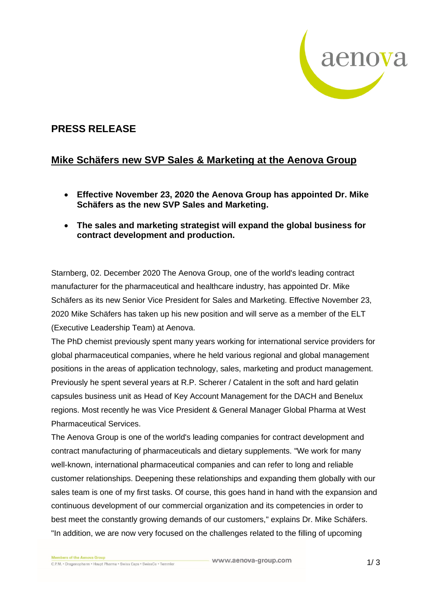

## **PRESS RELEASE**

## **Mike Schäfers new SVP Sales & Marketing at the Aenova Group**

- **Effective November 23, 2020 the Aenova Group has appointed Dr. Mike Schäfers as the new SVP Sales and Marketing.**
- **The sales and marketing strategist will expand the global business for contract development and production.**

Starnberg, 02. December 2020 The Aenova Group, one of the world's leading contract manufacturer for the pharmaceutical and healthcare industry, has appointed Dr. Mike Schäfers as its new Senior Vice President for Sales and Marketing. Effective November 23, 2020 Mike Schäfers has taken up his new position and will serve as a member of the ELT (Executive Leadership Team) at Aenova.

The PhD chemist previously spent many years working for international service providers for global pharmaceutical companies, where he held various regional and global management positions in the areas of application technology, sales, marketing and product management. Previously he spent several years at R.P. Scherer / Catalent in the soft and hard gelatin capsules business unit as Head of Key Account Management for the DACH and Benelux regions. Most recently he was Vice President & General Manager Global Pharma at West Pharmaceutical Services.

The Aenova Group is one of the world's leading companies for contract development and contract manufacturing of pharmaceuticals and dietary supplements. "We work for many well-known, international pharmaceutical companies and can refer to long and reliable customer relationships. Deepening these relationships and expanding them globally with our sales team is one of my first tasks. Of course, this goes hand in hand with the expansion and continuous development of our commercial organization and its competencies in order to best meet the constantly growing demands of our customers," explains Dr. Mike Schäfers. "In addition, we are now very focused on the challenges related to the filling of upcoming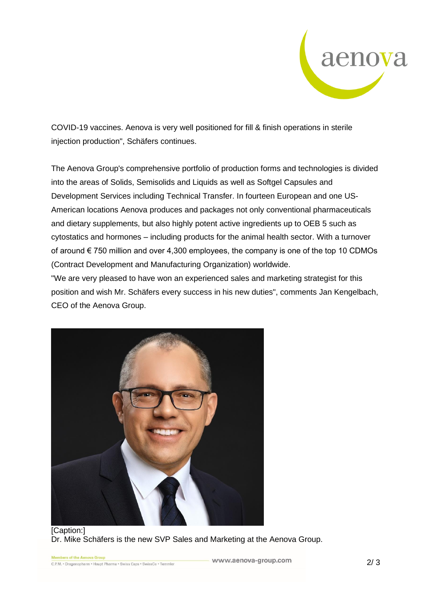

COVID-19 vaccines. Aenova is very well positioned for fill & finish operations in sterile injection production", Schäfers continues.

The Aenova Group's comprehensive portfolio of production forms and technologies is divided into the areas of Solids, Semisolids and Liquids as well as Softgel Capsules and Development Services including Technical Transfer. In fourteen European and one US-American locations Aenova produces and packages not only conventional pharmaceuticals and dietary supplements, but also highly potent active ingredients up to OEB 5 such as cytostatics and hormones – including products for the animal health sector. With a turnover of around € 750 million and over 4,300 employees, the company is one of the top 10 CDMOs (Contract Development and Manufacturing Organization) worldwide.

"We are very pleased to have won an experienced sales and marketing strategist for this position and wish Mr. Schäfers every success in his new duties", comments Jan Kengelbach, CEO of the Aenova Group.



Dr. Mike Schäfers is the new SVP Sales and Marketing at the Aenova Group.